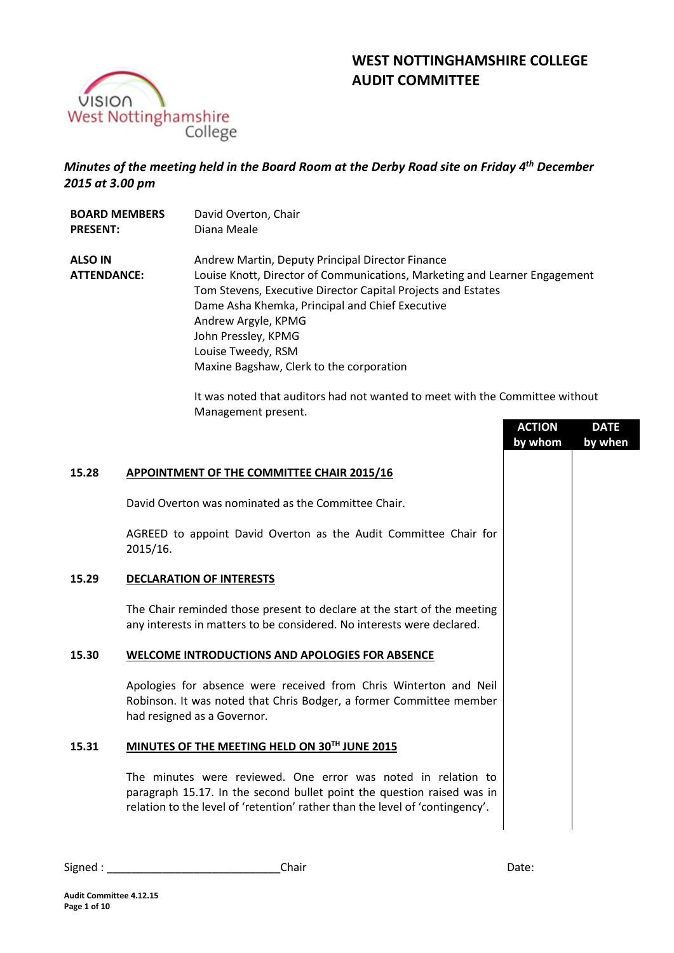

# **WEST NOTTINGHAMSHIRE COLLEGE AUDIT COMMITTEE**

## *Minutes of the meeting held in the Board Room at the Derby Road site on Friday 4 th December 2015 at 3.00 pm*

| <b>BOARD MEMBERS</b>                 | David Overton, Chair                                                                                                                                                                                                                                                                                                                                              |
|--------------------------------------|-------------------------------------------------------------------------------------------------------------------------------------------------------------------------------------------------------------------------------------------------------------------------------------------------------------------------------------------------------------------|
| <b>PRESENT:</b>                      | Diana Meale                                                                                                                                                                                                                                                                                                                                                       |
| <b>ALSO IN</b><br><b>ATTENDANCE:</b> | Andrew Martin, Deputy Principal Director Finance<br>Louise Knott, Director of Communications, Marketing and Learner Engagement<br>Tom Stevens, Executive Director Capital Projects and Estates<br>Dame Asha Khemka, Principal and Chief Executive<br>Andrew Argyle, KPMG<br>John Pressley, KPMG<br>Louise Tweedy, RSM<br>Maxine Bagshaw, Clerk to the corporation |

It was noted that auditors had not wanted to meet with the Committee without Management present. **ACCEPTED** 

|                                                                                                                                                                                                                         | <b>ACTION</b><br>by whom | <b>DATE</b><br>by when |  |
|-------------------------------------------------------------------------------------------------------------------------------------------------------------------------------------------------------------------------|--------------------------|------------------------|--|
| APPOINTMENT OF THE COMMITTEE CHAIR 2015/16                                                                                                                                                                              |                          |                        |  |
| David Overton was nominated as the Committee Chair.                                                                                                                                                                     |                          |                        |  |
| AGREED to appoint David Overton as the Audit Committee Chair for<br>2015/16.                                                                                                                                            |                          |                        |  |
| <b>DECLARATION OF INTERESTS</b>                                                                                                                                                                                         |                          |                        |  |
| The Chair reminded those present to declare at the start of the meeting<br>any interests in matters to be considered. No interests were declared.                                                                       |                          |                        |  |
| <b>WELCOME INTRODUCTIONS AND APOLOGIES FOR ABSENCE</b>                                                                                                                                                                  |                          |                        |  |
| Apologies for absence were received from Chris Winterton and Neil<br>Robinson. It was noted that Chris Bodger, a former Committee member<br>had resigned as a Governor.                                                 |                          |                        |  |
| MINUTES OF THE MEETING HELD ON 30TH JUNE 2015                                                                                                                                                                           |                          |                        |  |
| The minutes were reviewed. One error was noted in relation to<br>paragraph 15.17. In the second bullet point the question raised was in<br>relation to the level of 'retention' rather than the level of 'contingency'. |                          |                        |  |
|                                                                                                                                                                                                                         |                          |                        |  |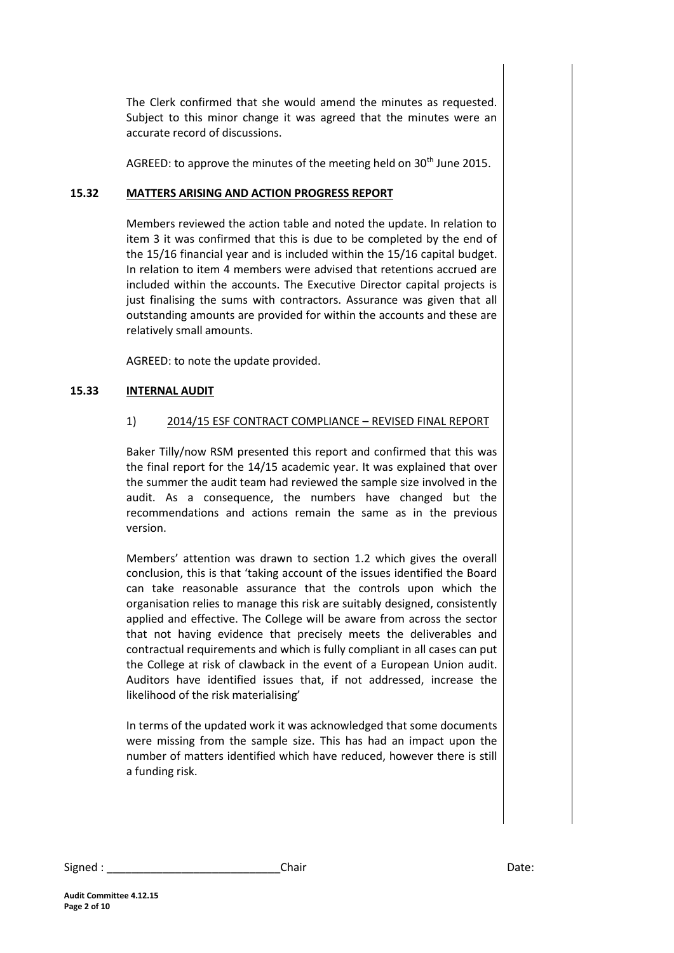The Clerk confirmed that she would amend the minutes as requested. Subject to this minor change it was agreed that the minutes were an accurate record of discussions.

AGREED: to approve the minutes of the meeting held on 30<sup>th</sup> June 2015.

## **15.32 MATTERS ARISING AND ACTION PROGRESS REPORT**

Members reviewed the action table and noted the update. In relation to item 3 it was confirmed that this is due to be completed by the end of the 15/16 financial year and is included within the 15/16 capital budget. In relation to item 4 members were advised that retentions accrued are included within the accounts. The Executive Director capital projects is just finalising the sums with contractors. Assurance was given that all outstanding amounts are provided for within the accounts and these are relatively small amounts.

AGREED: to note the update provided.

## **15.33 INTERNAL AUDIT**

## 1) 2014/15 ESF CONTRACT COMPLIANCE – REVISED FINAL REPORT

Baker Tilly/now RSM presented this report and confirmed that this was the final report for the 14/15 academic year. It was explained that over the summer the audit team had reviewed the sample size involved in the audit. As a consequence, the numbers have changed but the recommendations and actions remain the same as in the previous version.

Members' attention was drawn to section 1.2 which gives the overall conclusion, this is that 'taking account of the issues identified the Board can take reasonable assurance that the controls upon which the organisation relies to manage this risk are suitably designed, consistently applied and effective. The College will be aware from across the sector that not having evidence that precisely meets the deliverables and contractual requirements and which is fully compliant in all cases can put the College at risk of clawback in the event of a European Union audit. Auditors have identified issues that, if not addressed, increase the likelihood of the risk materialising'

In terms of the updated work it was acknowledged that some documents were missing from the sample size. This has had an impact upon the number of matters identified which have reduced, however there is still a funding risk.

Signed : \_\_\_\_\_\_\_\_\_\_\_\_\_\_\_\_\_\_\_\_\_\_\_\_\_\_\_\_Chair Date: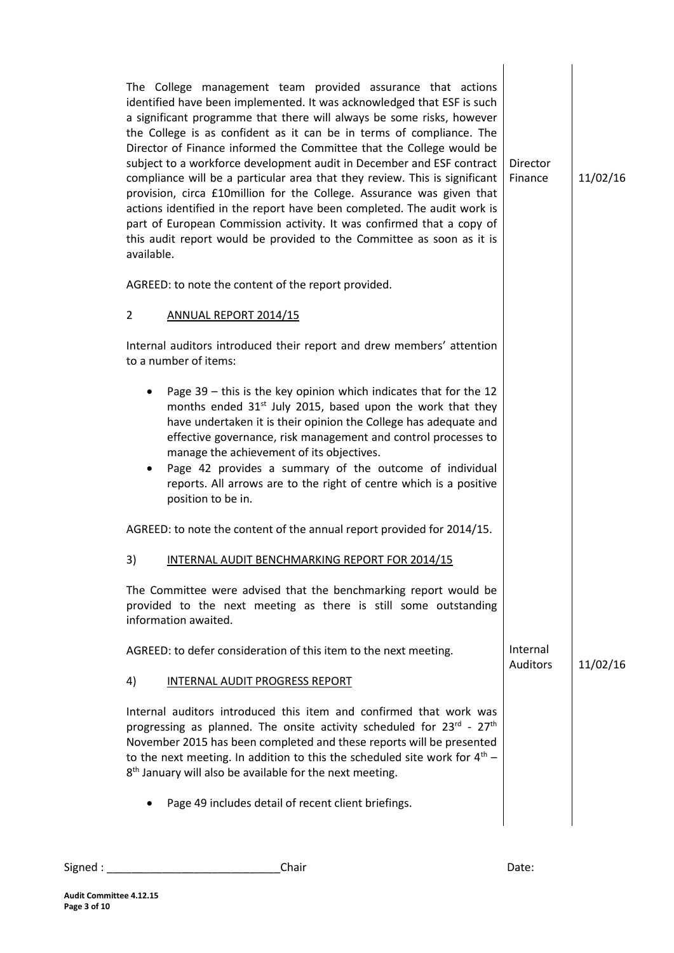| The College management team provided assurance that actions<br>identified have been implemented. It was acknowledged that ESF is such<br>a significant programme that there will always be some risks, however<br>the College is as confident as it can be in terms of compliance. The<br>Director of Finance informed the Committee that the College would be<br>subject to a workforce development audit in December and ESF contract<br>compliance will be a particular area that they review. This is significant<br>provision, circa £10million for the College. Assurance was given that<br>actions identified in the report have been completed. The audit work is<br>part of European Commission activity. It was confirmed that a copy of<br>this audit report would be provided to the Committee as soon as it is<br>available. | Director<br>Finance         | 11/02/16 |
|-------------------------------------------------------------------------------------------------------------------------------------------------------------------------------------------------------------------------------------------------------------------------------------------------------------------------------------------------------------------------------------------------------------------------------------------------------------------------------------------------------------------------------------------------------------------------------------------------------------------------------------------------------------------------------------------------------------------------------------------------------------------------------------------------------------------------------------------|-----------------------------|----------|
| AGREED: to note the content of the report provided.                                                                                                                                                                                                                                                                                                                                                                                                                                                                                                                                                                                                                                                                                                                                                                                       |                             |          |
| $\overline{2}$<br>ANNUAL REPORT 2014/15                                                                                                                                                                                                                                                                                                                                                                                                                                                                                                                                                                                                                                                                                                                                                                                                   |                             |          |
| Internal auditors introduced their report and drew members' attention<br>to a number of items:                                                                                                                                                                                                                                                                                                                                                                                                                                                                                                                                                                                                                                                                                                                                            |                             |          |
| Page 39 - this is the key opinion which indicates that for the 12<br>months ended 31 <sup>st</sup> July 2015, based upon the work that they<br>have undertaken it is their opinion the College has adequate and<br>effective governance, risk management and control processes to<br>manage the achievement of its objectives.<br>Page 42 provides a summary of the outcome of individual<br>reports. All arrows are to the right of centre which is a positive<br>position to be in.                                                                                                                                                                                                                                                                                                                                                     |                             |          |
| AGREED: to note the content of the annual report provided for 2014/15.                                                                                                                                                                                                                                                                                                                                                                                                                                                                                                                                                                                                                                                                                                                                                                    |                             |          |
| 3)<br>INTERNAL AUDIT BENCHMARKING REPORT FOR 2014/15                                                                                                                                                                                                                                                                                                                                                                                                                                                                                                                                                                                                                                                                                                                                                                                      |                             |          |
| The Committee were advised that the benchmarking report would be<br>provided to the next meeting as there is still some outstanding<br>information awaited.                                                                                                                                                                                                                                                                                                                                                                                                                                                                                                                                                                                                                                                                               |                             |          |
| AGREED: to defer consideration of this item to the next meeting.                                                                                                                                                                                                                                                                                                                                                                                                                                                                                                                                                                                                                                                                                                                                                                          | Internal<br><b>Auditors</b> | 11/02/16 |
| INTERNAL AUDIT PROGRESS REPORT<br>4)                                                                                                                                                                                                                                                                                                                                                                                                                                                                                                                                                                                                                                                                                                                                                                                                      |                             |          |
| Internal auditors introduced this item and confirmed that work was<br>progressing as planned. The onsite activity scheduled for 23rd - 27 <sup>th</sup><br>November 2015 has been completed and these reports will be presented<br>to the next meeting. In addition to this the scheduled site work for $4th$ –<br>8 <sup>th</sup> January will also be available for the next meeting.                                                                                                                                                                                                                                                                                                                                                                                                                                                   |                             |          |
| Page 49 includes detail of recent client briefings.                                                                                                                                                                                                                                                                                                                                                                                                                                                                                                                                                                                                                                                                                                                                                                                       |                             |          |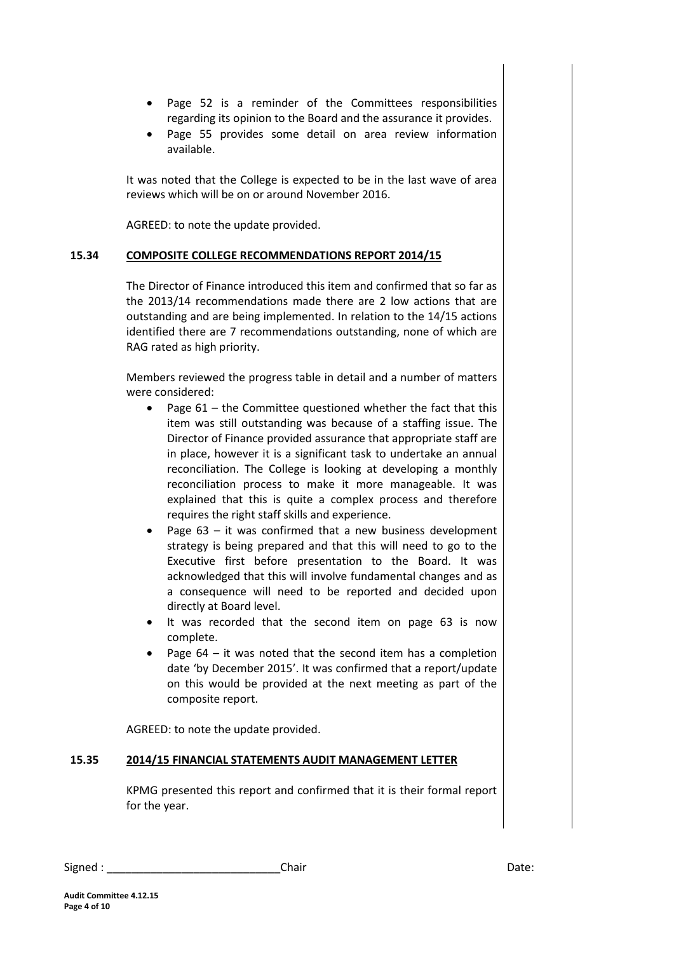- Page 52 is a reminder of the Committees responsibilities regarding its opinion to the Board and the assurance it provides.
- Page 55 provides some detail on area review information available.

It was noted that the College is expected to be in the last wave of area reviews which will be on or around November 2016.

AGREED: to note the update provided.

#### **15.34 COMPOSITE COLLEGE RECOMMENDATIONS REPORT 2014/15**

The Director of Finance introduced this item and confirmed that so far as the 2013/14 recommendations made there are 2 low actions that are outstanding and are being implemented. In relation to the 14/15 actions identified there are 7 recommendations outstanding, none of which are RAG rated as high priority.

Members reviewed the progress table in detail and a number of matters were considered:

- Page  $61$  the Committee questioned whether the fact that this item was still outstanding was because of a staffing issue. The Director of Finance provided assurance that appropriate staff are in place, however it is a significant task to undertake an annual reconciliation. The College is looking at developing a monthly reconciliation process to make it more manageable. It was explained that this is quite a complex process and therefore requires the right staff skills and experience.
- Page 63 it was confirmed that a new business development strategy is being prepared and that this will need to go to the Executive first before presentation to the Board. It was acknowledged that this will involve fundamental changes and as a consequence will need to be reported and decided upon directly at Board level.
- It was recorded that the second item on page 63 is now complete.
- Page 64 it was noted that the second item has a completion date 'by December 2015'. It was confirmed that a report/update on this would be provided at the next meeting as part of the composite report.

AGREED: to note the update provided.

#### **15.35 2014/15 FINANCIAL STATEMENTS AUDIT MANAGEMENT LETTER**

KPMG presented this report and confirmed that it is their formal report for the year.

| Signed | Chair | า∽+∠<br>Dale. |
|--------|-------|---------------|
|--------|-------|---------------|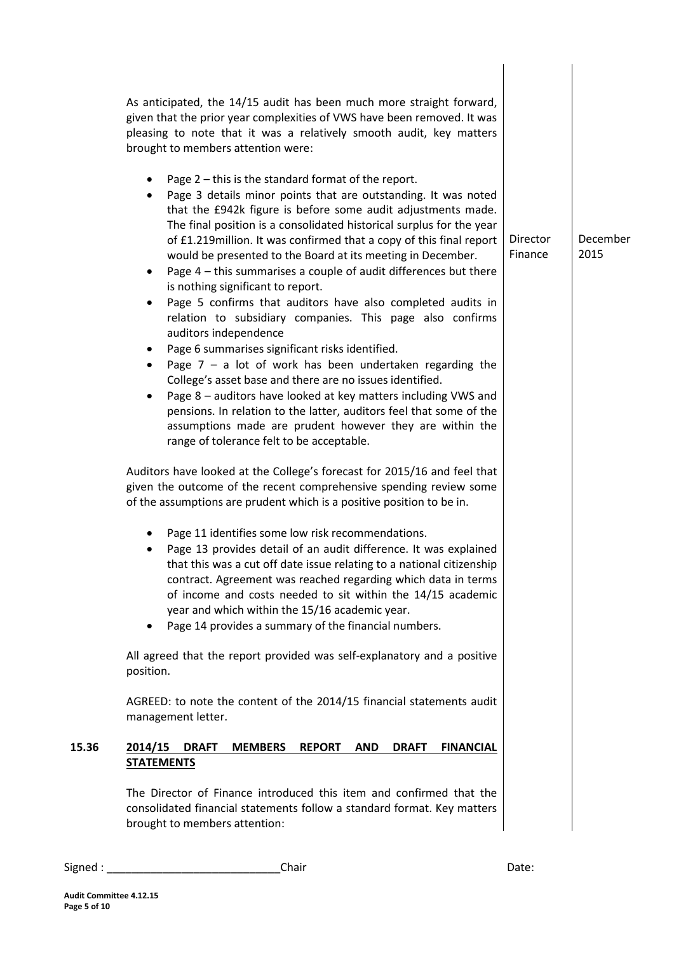|       | As anticipated, the 14/15 audit has been much more straight forward,<br>given that the prior year complexities of VWS have been removed. It was<br>pleasing to note that it was a relatively smooth audit, key matters<br>brought to members attention were:                                                                                                                                                                                                                                                                                                                                                                                                                                                                                                                                                                                                                                                                                                                                                                                                                                                                           |                     |                  |
|-------|----------------------------------------------------------------------------------------------------------------------------------------------------------------------------------------------------------------------------------------------------------------------------------------------------------------------------------------------------------------------------------------------------------------------------------------------------------------------------------------------------------------------------------------------------------------------------------------------------------------------------------------------------------------------------------------------------------------------------------------------------------------------------------------------------------------------------------------------------------------------------------------------------------------------------------------------------------------------------------------------------------------------------------------------------------------------------------------------------------------------------------------|---------------------|------------------|
|       | Page 2 - this is the standard format of the report.<br>٠<br>Page 3 details minor points that are outstanding. It was noted<br>٠<br>that the £942k figure is before some audit adjustments made.<br>The final position is a consolidated historical surplus for the year<br>of £1.219 million. It was confirmed that a copy of this final report<br>would be presented to the Board at its meeting in December.<br>Page $4$ – this summarises a couple of audit differences but there<br>٠<br>is nothing significant to report.<br>Page 5 confirms that auditors have also completed audits in<br>٠<br>relation to subsidiary companies. This page also confirms<br>auditors independence<br>Page 6 summarises significant risks identified.<br>٠<br>Page $7 - a$ lot of work has been undertaken regarding the<br>٠<br>College's asset base and there are no issues identified.<br>Page 8 - auditors have looked at key matters including VWS and<br>٠<br>pensions. In relation to the latter, auditors feel that some of the<br>assumptions made are prudent however they are within the<br>range of tolerance felt to be acceptable. | Director<br>Finance | December<br>2015 |
|       | Auditors have looked at the College's forecast for 2015/16 and feel that<br>given the outcome of the recent comprehensive spending review some<br>of the assumptions are prudent which is a positive position to be in.                                                                                                                                                                                                                                                                                                                                                                                                                                                                                                                                                                                                                                                                                                                                                                                                                                                                                                                |                     |                  |
|       | Page 11 identifies some low risk recommendations.<br>Page 13 provides detail of an audit difference. It was explained<br>that this was a cut off date issue relating to a national citizenship<br>contract. Agreement was reached regarding which data in terms<br>of income and costs needed to sit within the 14/15 academic<br>year and which within the 15/16 academic year.<br>Page 14 provides a summary of the financial numbers.<br>٠                                                                                                                                                                                                                                                                                                                                                                                                                                                                                                                                                                                                                                                                                          |                     |                  |
|       | All agreed that the report provided was self-explanatory and a positive<br>position.                                                                                                                                                                                                                                                                                                                                                                                                                                                                                                                                                                                                                                                                                                                                                                                                                                                                                                                                                                                                                                                   |                     |                  |
|       | AGREED: to note the content of the 2014/15 financial statements audit<br>management letter.                                                                                                                                                                                                                                                                                                                                                                                                                                                                                                                                                                                                                                                                                                                                                                                                                                                                                                                                                                                                                                            |                     |                  |
| 15.36 | 2014/15<br><b>MEMBERS</b><br><b>DRAFT</b><br><b>REPORT</b><br><b>AND</b><br><b>DRAFT</b><br><b>FINANCIAL</b><br><b>STATEMENTS</b>                                                                                                                                                                                                                                                                                                                                                                                                                                                                                                                                                                                                                                                                                                                                                                                                                                                                                                                                                                                                      |                     |                  |
|       | The Director of Finance introduced this item and confirmed that the<br>consolidated financial statements follow a standard format. Key matters<br>brought to members attention:                                                                                                                                                                                                                                                                                                                                                                                                                                                                                                                                                                                                                                                                                                                                                                                                                                                                                                                                                        |                     |                  |

Signed : \_\_\_\_\_\_\_\_\_\_\_\_\_\_\_\_\_\_\_\_\_\_\_\_\_\_\_\_Chair Date: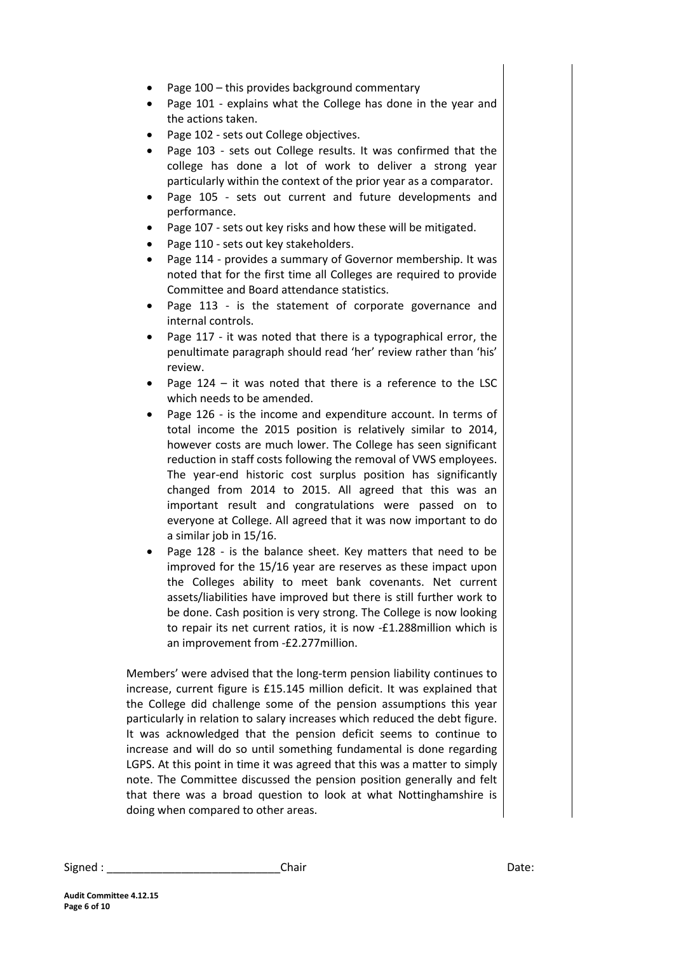- Page 100 this provides background commentary
- Page 101 explains what the College has done in the year and the actions taken.
- Page 102 sets out College objectives.
- Page 103 sets out College results. It was confirmed that the college has done a lot of work to deliver a strong year particularly within the context of the prior year as a comparator.
- Page 105 sets out current and future developments and performance.
- Page 107 sets out key risks and how these will be mitigated.
- Page 110 sets out key stakeholders.
- Page 114 provides a summary of Governor membership. It was noted that for the first time all Colleges are required to provide Committee and Board attendance statistics.
- Page 113 is the statement of corporate governance and internal controls.
- Page 117 it was noted that there is a typographical error, the penultimate paragraph should read 'her' review rather than 'his' review.
- Page  $124 it$  was noted that there is a reference to the LSC which needs to be amended.
- Page 126 is the income and expenditure account. In terms of total income the 2015 position is relatively similar to 2014, however costs are much lower. The College has seen significant reduction in staff costs following the removal of VWS employees. The year-end historic cost surplus position has significantly changed from 2014 to 2015. All agreed that this was an important result and congratulations were passed on to everyone at College. All agreed that it was now important to do a similar job in 15/16.
- Page 128 is the balance sheet. Key matters that need to be improved for the 15/16 year are reserves as these impact upon the Colleges ability to meet bank covenants. Net current assets/liabilities have improved but there is still further work to be done. Cash position is very strong. The College is now looking to repair its net current ratios, it is now -£1.288million which is an improvement from -£2.277million.

Members' were advised that the long-term pension liability continues to increase, current figure is £15.145 million deficit. It was explained that the College did challenge some of the pension assumptions this year particularly in relation to salary increases which reduced the debt figure. It was acknowledged that the pension deficit seems to continue to increase and will do so until something fundamental is done regarding LGPS. At this point in time it was agreed that this was a matter to simply note. The Committee discussed the pension position generally and felt that there was a broad question to look at what Nottinghamshire is doing when compared to other areas.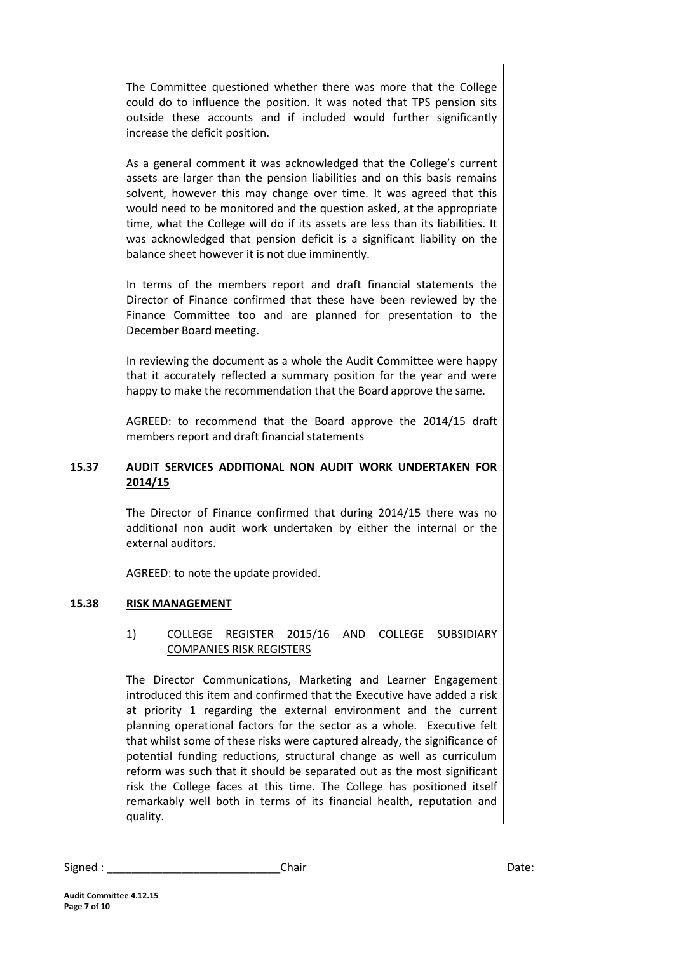The Committee questioned whether there was more that the College could do to influence the position. It was noted that TPS pension sits outside these accounts and if included would further significantly increase the deficit position.

As a general comment it was acknowledged that the College's current assets are larger than the pension liabilities and on this basis remains solvent, however this may change over time. It was agreed that this would need to be monitored and the question asked, at the appropriate time, what the College will do if its assets are less than its liabilities. It was acknowledged that pension deficit is a significant liability on the balance sheet however it is not due imminently.

In terms of the members report and draft financial statements the Director of Finance confirmed that these have been reviewed by the Finance Committee too and are planned for presentation to the December Board meeting.

In reviewing the document as a whole the Audit Committee were happy that it accurately reflected a summary position for the year and were happy to make the recommendation that the Board approve the same.

AGREED: to recommend that the Board approve the 2014/15 draft members report and draft financial statements

## **15.37 AUDIT SERVICES ADDITIONAL NON AUDIT WORK UNDERTAKEN FOR 2014/15**

The Director of Finance confirmed that during 2014/15 there was no additional non audit work undertaken by either the internal or the external auditors.

AGREED: to note the update provided.

## **15.38 RISK MANAGEMENT**

## 1) COLLEGE REGISTER 2015/16 AND COLLEGE SUBSIDIARY COMPANIES RISK REGISTERS

The Director Communications, Marketing and Learner Engagement introduced this item and confirmed that the Executive have added a risk at priority 1 regarding the external environment and the current planning operational factors for the sector as a whole. Executive felt that whilst some of these risks were captured already, the significance of potential funding reductions, structural change as well as curriculum reform was such that it should be separated out as the most significant risk the College faces at this time. The College has positioned itself remarkably well both in terms of its financial health, reputation and quality.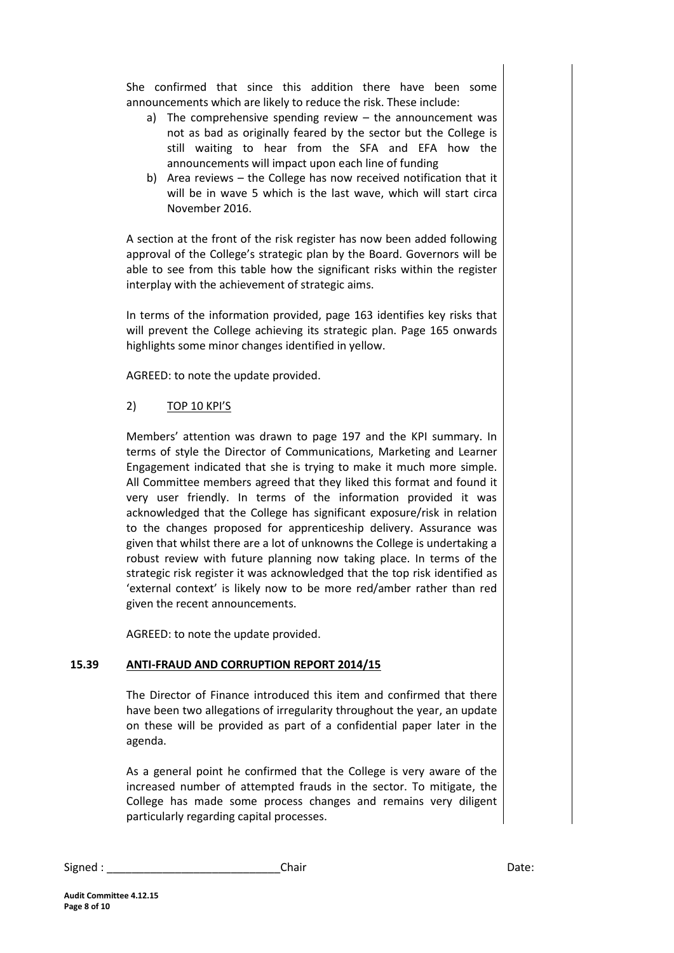She confirmed that since this addition there have been some announcements which are likely to reduce the risk. These include:

- a) The comprehensive spending review the announcement was not as bad as originally feared by the sector but the College is still waiting to hear from the SFA and EFA how the announcements will impact upon each line of funding
- b) Area reviews the College has now received notification that it will be in wave 5 which is the last wave, which will start circa November 2016.

A section at the front of the risk register has now been added following approval of the College's strategic plan by the Board. Governors will be able to see from this table how the significant risks within the register interplay with the achievement of strategic aims.

In terms of the information provided, page 163 identifies key risks that will prevent the College achieving its strategic plan. Page 165 onwards highlights some minor changes identified in yellow.

AGREED: to note the update provided.

## 2) TOP 10 KPI'S

Members' attention was drawn to page 197 and the KPI summary. In terms of style the Director of Communications, Marketing and Learner Engagement indicated that she is trying to make it much more simple. All Committee members agreed that they liked this format and found it very user friendly. In terms of the information provided it was acknowledged that the College has significant exposure/risk in relation to the changes proposed for apprenticeship delivery. Assurance was given that whilst there are a lot of unknowns the College is undertaking a robust review with future planning now taking place. In terms of the strategic risk register it was acknowledged that the top risk identified as 'external context' is likely now to be more red/amber rather than red given the recent announcements.

AGREED: to note the update provided.

## **15.39 ANTI-FRAUD AND CORRUPTION REPORT 2014/15**

The Director of Finance introduced this item and confirmed that there have been two allegations of irregularity throughout the year, an update on these will be provided as part of a confidential paper later in the agenda.

As a general point he confirmed that the College is very aware of the increased number of attempted frauds in the sector. To mitigate, the College has made some process changes and remains very diligent particularly regarding capital processes.

| Signed | Chair | ,,,,,<br>Dale. |
|--------|-------|----------------|
|        |       |                |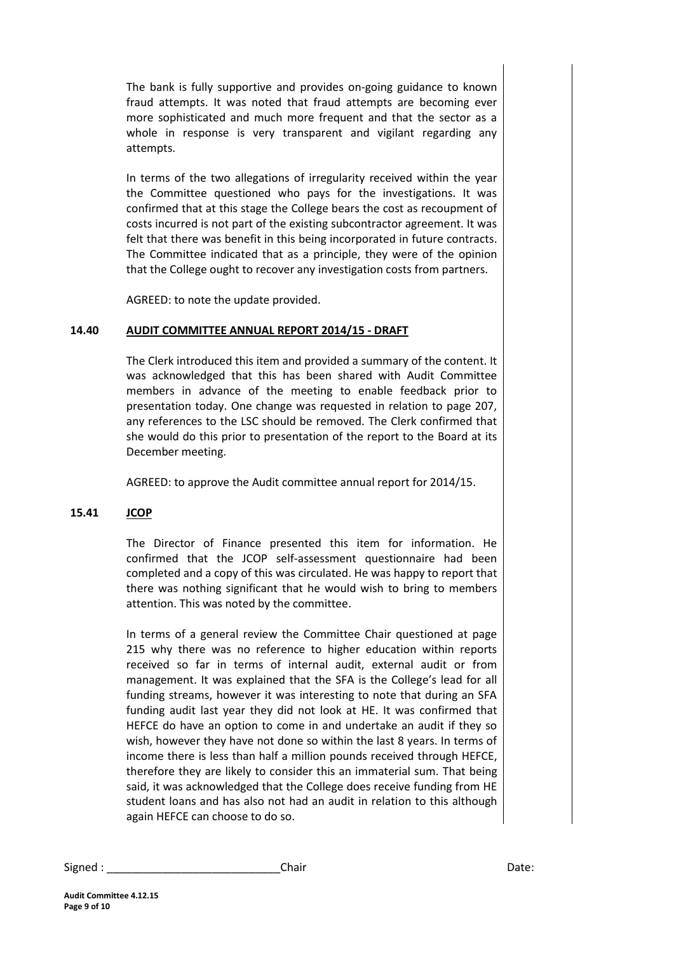The bank is fully supportive and provides on-going guidance to known fraud attempts. It was noted that fraud attempts are becoming ever more sophisticated and much more frequent and that the sector as a whole in response is very transparent and vigilant regarding any attempts.

In terms of the two allegations of irregularity received within the year the Committee questioned who pays for the investigations. It was confirmed that at this stage the College bears the cost as recoupment of costs incurred is not part of the existing subcontractor agreement. It was felt that there was benefit in this being incorporated in future contracts. The Committee indicated that as a principle, they were of the opinion that the College ought to recover any investigation costs from partners.

AGREED: to note the update provided.

## **14.40 AUDIT COMMITTEE ANNUAL REPORT 2014/15 - DRAFT**

The Clerk introduced this item and provided a summary of the content. It was acknowledged that this has been shared with Audit Committee members in advance of the meeting to enable feedback prior to presentation today. One change was requested in relation to page 207, any references to the LSC should be removed. The Clerk confirmed that she would do this prior to presentation of the report to the Board at its December meeting.

AGREED: to approve the Audit committee annual report for 2014/15.

## **15.41 JCOP**

The Director of Finance presented this item for information. He confirmed that the JCOP self-assessment questionnaire had been completed and a copy of this was circulated. He was happy to report that there was nothing significant that he would wish to bring to members attention. This was noted by the committee.

In terms of a general review the Committee Chair questioned at page 215 why there was no reference to higher education within reports received so far in terms of internal audit, external audit or from management. It was explained that the SFA is the College's lead for all funding streams, however it was interesting to note that during an SFA funding audit last year they did not look at HE. It was confirmed that HEFCE do have an option to come in and undertake an audit if they so wish, however they have not done so within the last 8 years. In terms of income there is less than half a million pounds received through HEFCE, therefore they are likely to consider this an immaterial sum. That being said, it was acknowledged that the College does receive funding from HE student loans and has also not had an audit in relation to this although again HEFCE can choose to do so.